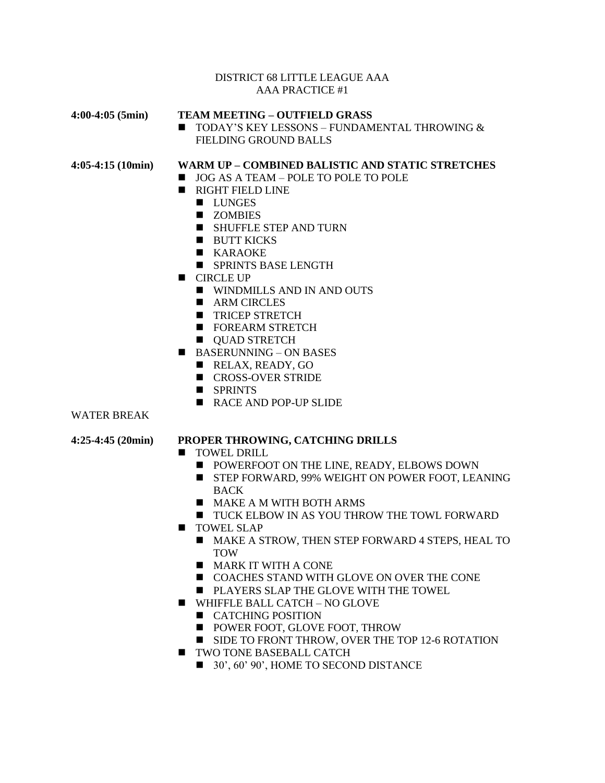#### DISTRICT 68 LITTLE LEAGUE AAA AAA PRACTICE #1

#### **4:00-4:05 (5min) TEAM MEETING – OUTFIELD GRASS**

■ TODAY'S KEY LESSONS – FUNDAMENTAL THROWING & FIELDING GROUND BALLS

## **4:05-4:15 (10min) WARM UP – COMBINED BALISTIC AND STATIC STRETCHES**

- JOG AS A TEAM POLE TO POLE TO POLE
	- RIGHT FIELD LINE
		- LUNGES
		- ZOMBIES
		- SHUFFLE STEP AND TURN
		- BUTT KICKS
		- KARAOKE
		- SPRINTS BASE LENGTH
	- CIRCLE UP
		- WINDMILLS AND IN AND OUTS
		- ARM CIRCLES
		- TRICEP STRETCH
		- FOREARM STRETCH
		- QUAD STRETCH
	- $\blacksquare$  BASERUNNING ON BASES
		- RELAX, READY, GO
		- CROSS-OVER STRIDE
		- SPRINTS
		- RACE AND POP-UP SLIDE

#### WATER BREAK

#### **4:25-4:45 (20min) PROPER THROWING, CATCHING DRILLS**

- TOWEL DRILL
	- POWERFOOT ON THE LINE, READY, ELBOWS DOWN
	- STEP FORWARD, 99% WEIGHT ON POWER FOOT, LEANING BACK
	- MAKE A M WITH BOTH ARMS
	- TUCK ELBOW IN AS YOU THROW THE TOWL FORWARD
- TOWEL SLAP
	- MAKE A STROW, THEN STEP FORWARD 4 STEPS, HEAL TO TOW
	- MARK IT WITH A CONE
	- COACHES STAND WITH GLOVE ON OVER THE CONE
	- PLAYERS SLAP THE GLOVE WITH THE TOWEL
- WHIFFLE BALL CATCH NO GLOVE
	- CATCHING POSITION
	- POWER FOOT, GLOVE FOOT, THROW
	- SIDE TO FRONT THROW, OVER THE TOP 12-6 ROTATION
- TWO TONE BASEBALL CATCH
	- 30', 60' 90', HOME TO SECOND DISTANCE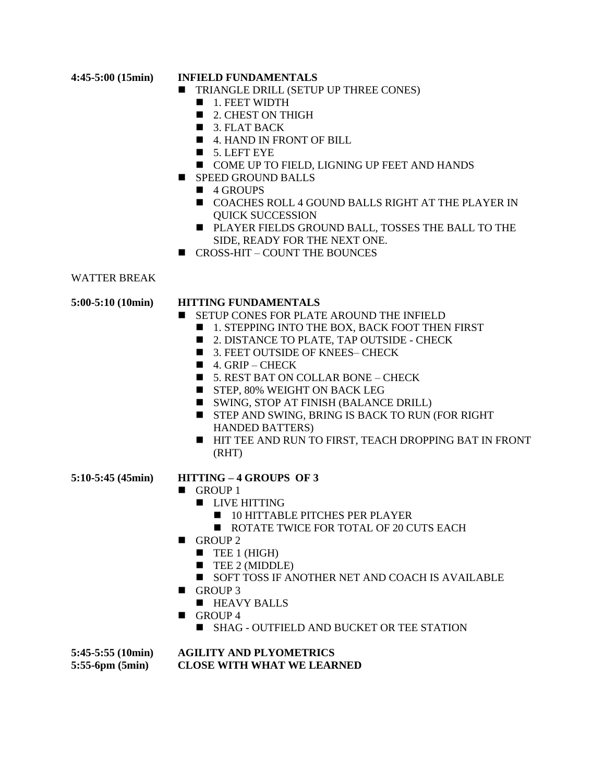#### **4:45-5:00 (15min) INFIELD FUNDAMENTALS**

- TRIANGLE DRILL (SETUP UP THREE CONES)
	- 1. FEET WIDTH
	- 2. CHEST ON THIGH
	- $\blacksquare$  3. FLAT BACK
	- 4. HAND IN FRONT OF BILL
	- 5. LEFT EYE
	- COME UP TO FIELD, LIGNING UP FEET AND HANDS
- SPEED GROUND BALLS
	- 4 GROUPS
	- COACHES ROLL 4 GOUND BALLS RIGHT AT THE PLAYER IN QUICK SUCCESSION
	- PLAYER FIELDS GROUND BALL, TOSSES THE BALL TO THE SIDE, READY FOR THE NEXT ONE.
- CROSS-HIT COUNT THE BOUNCES

### WATTER BREAK

### **5:00-5:10 (10min) HITTING FUNDAMENTALS**

- SETUP CONES FOR PLATE AROUND THE INFIELD
	- 1. STEPPING INTO THE BOX, BACK FOOT THEN FIRST
	- 2. DISTANCE TO PLATE, TAP OUTSIDE CHECK
	- 3. FEET OUTSIDE OF KNEES- CHECK
	- $\blacksquare$  4. GRIP CHECK
	- $\blacksquare$  5. REST BAT ON COLLAR BONE CHECK
	- STEP, 80% WEIGHT ON BACK LEG
	- SWING, STOP AT FINISH (BALANCE DRILL)
	- STEP AND SWING, BRING IS BACK TO RUN (FOR RIGHT) HANDED BATTERS)
	- HIT TEE AND RUN TO FIRST, TEACH DROPPING BAT IN FRONT (RHT)
- 
- **5:10-5:45 (45min) HITTING – 4 GROUPS OF 3**
	- GROUP 1
		- LIVE HITTING
			- 10 HITTABLE PITCHES PER PLAYER
			- ROTATE TWICE FOR TOTAL OF 20 CUTS EACH
	- GROUP 2
		- $\blacksquare$  TEE 1 (HIGH)
		- TEE 2 (MIDDLE)
		- SOFT TOSS IF ANOTHER NET AND COACH IS AVAILABLE
	- GROUP 3
		- HEAVY BALLS
	- GROUP 4
		- SHAG OUTFIELD AND BUCKET OR TEE STATION

#### **5:45-5:55 (10min) AGILITY AND PLYOMETRICS 5:55-6pm (5min) CLOSE WITH WHAT WE LEARNED**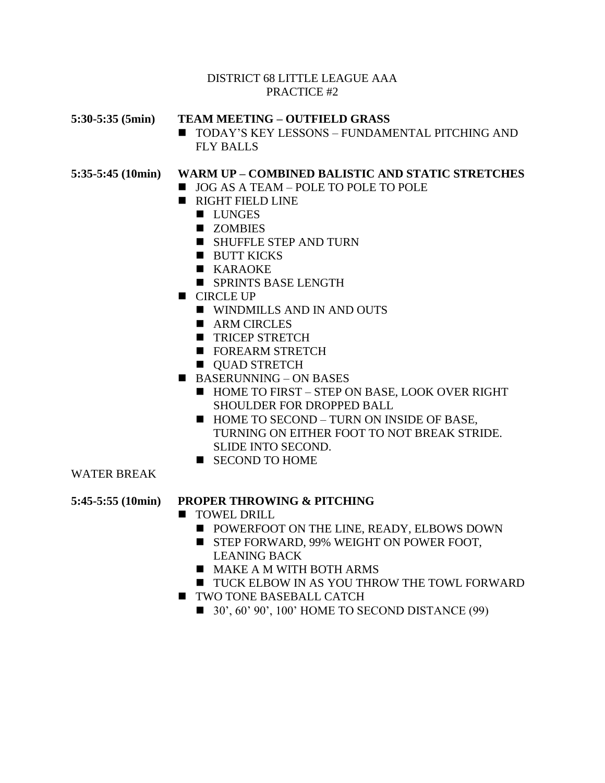## DISTRICT 68 LITTLE LEAGUE AAA PRACTICE #2

## **5:30-5:35 (5min) TEAM MEETING – OUTFIELD GRASS**

■ TODAY'S KEY LESSONS – FUNDAMENTAL PITCHING AND FLY BALLS

# **5:35-5:45 (10min) WARM UP – COMBINED BALISTIC AND STATIC STRETCHES**

- JOG AS A TEAM POLE TO POLE TO POLE
- RIGHT FIELD LINE
	- LUNGES
	- ZOMBIES
	- SHUFFLE STEP AND TURN
	- BUTT KICKS
	- KARAOKE
	- SPRINTS BASE LENGTH
- CIRCLE UP
	- WINDMILLS AND IN AND OUTS
	- ARM CIRCLES
	- TRICEP STRETCH
	- FOREARM STRETCH
	- **OUAD STRETCH**
- $\blacksquare$  BASERUNNING ON BASES
	- HOME TO FIRST STEP ON BASE, LOOK OVER RIGHT SHOULDER FOR DROPPED BALL
	- HOME TO SECOND TURN ON INSIDE OF BASE, TURNING ON EITHER FOOT TO NOT BREAK STRIDE. SLIDE INTO SECOND.
	- SECOND TO HOME

## WATER BREAK

### **5:45-5:55 (10min) PROPER THROWING & PITCHING**

- TOWEL DRILL
	- POWERFOOT ON THE LINE, READY, ELBOWS DOWN
	- STEP FORWARD, 99% WEIGHT ON POWER FOOT, LEANING BACK
	- MAKE A M WITH BOTH ARMS
	- TUCK ELBOW IN AS YOU THROW THE TOWL FORWARD
- TWO TONE BASEBALL CATCH
	- $\blacksquare$  30', 60' 90', 100' HOME TO SECOND DISTANCE (99)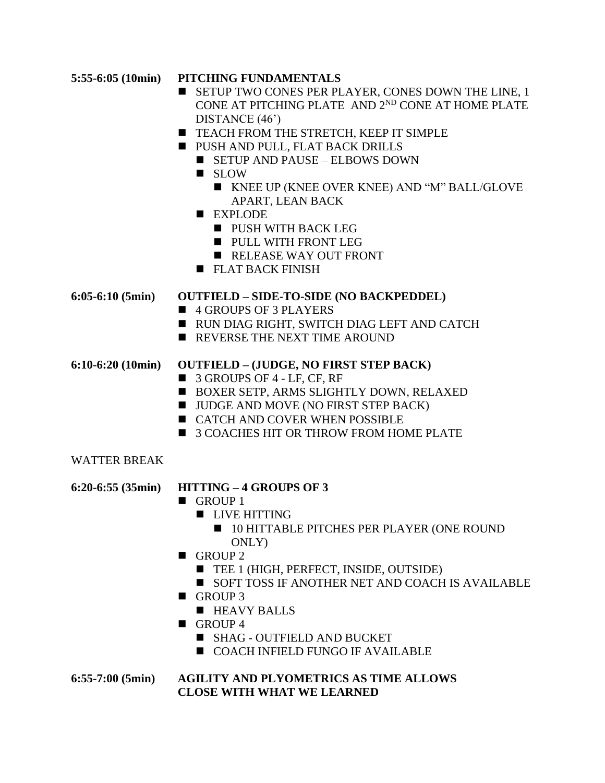# **5:55-6:05 (10min) PITCHING FUNDAMENTALS**

- SETUP TWO CONES PER PLAYER, CONES DOWN THE LINE, 1 CONE AT PITCHING PLATE AND 2ND CONE AT HOME PLATE DISTANCE (46')
- TEACH FROM THE STRETCH, KEEP IT SIMPLE
- PUSH AND PULL, FLAT BACK DRILLS
	- $\blacksquare$  SETUP AND PAUSE ELBOWS DOWN
	- SLOW
		- KNEE UP (KNEE OVER KNEE) AND "M" BALL/GLOVE APART, LEAN BACK
	- EXPLODE
		- PUSH WITH BACK LEG
		- PULL WITH FRONT LEG
		- RELEASE WAY OUT FRONT
	- FLAT BACK FINISH

## **6:05-6:10 (5min) OUTFIELD – SIDE-TO-SIDE (NO BACKPEDDEL)**

- 4 GROUPS OF 3 PLAYERS
- RUN DIAG RIGHT, SWITCH DIAG LEFT AND CATCH
- REVERSE THE NEXT TIME AROUND

## **6:10-6:20 (10min) OUTFIELD – (JUDGE, NO FIRST STEP BACK)**

- 3 GROUPS OF 4 LF, CF, RF
- BOXER SETP, ARMS SLIGHTLY DOWN, RELAXED
- JUDGE AND MOVE (NO FIRST STEP BACK)
- CATCH AND COVER WHEN POSSIBLE
- 3 COACHES HIT OR THROW FROM HOME PLATE

# WATTER BREAK

# **6:20-6:55 (35min) HITTING – 4 GROUPS OF 3**

- GROUP 1
	- LIVE HITTING
		- 10 HITTABLE PITCHES PER PLAYER (ONE ROUND ONLY)
- GROUP 2
	- TEE 1 (HIGH, PERFECT, INSIDE, OUTSIDE)
	- SOFT TOSS IF ANOTHER NET AND COACH IS AVAILABLE
- GROUP 3
	- **E** HEAVY BALLS
- $\blacksquare$  GROUP 4
	- SHAG OUTFIELD AND BUCKET
	- COACH INFIELD FUNGO IF AVAILABLE

**6:55-7:00 (5min) AGILITY AND PLYOMETRICS AS TIME ALLOWS CLOSE WITH WHAT WE LEARNED**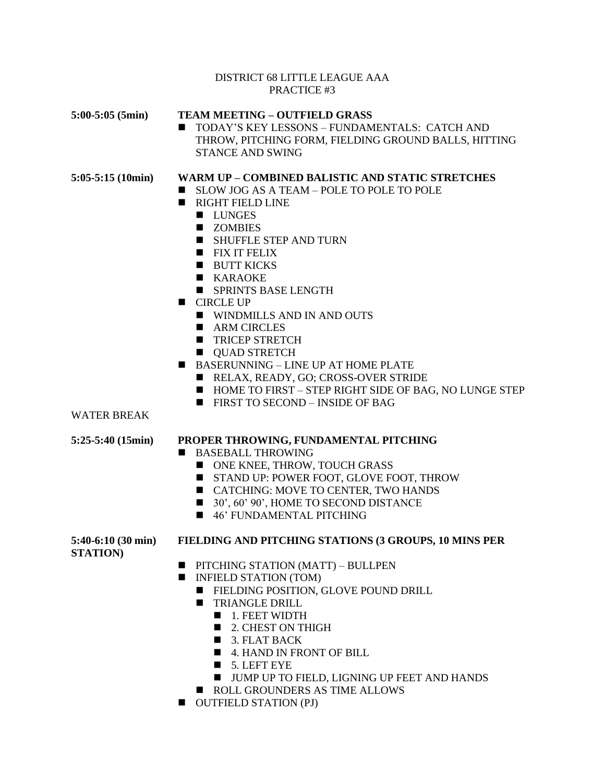#### DISTRICT 68 LITTLE LEAGUE AAA PRACTICE #3

#### **5:00-5:05 (5min) TEAM MEETING – OUTFIELD GRASS**

■ TODAY'S KEY LESSONS – FUNDAMENTALS: CATCH AND THROW, PITCHING FORM, FIELDING GROUND BALLS, HITTING STANCE AND SWING

### **5:05-5:15 (10min) WARM UP – COMBINED BALISTIC AND STATIC STRETCHES**

- SLOW JOG AS A TEAM POLE TO POLE TO POLE
- RIGHT FIELD LINE
	- LUNGES
	- ZOMBIES
	- SHUFFLE STEP AND TURN
	- FIX IT FELIX
	- BUTT KICKS
	- KARAOKE
	- SPRINTS BASE LENGTH
- CIRCLE UP
	- WINDMILLS AND IN AND OUTS
	- ARM CIRCLES
	- TRICEP STRETCH
	- QUAD STRETCH
- BASERUNNING LINE UP AT HOME PLATE
	- RELAX, READY, GO; CROSS-OVER STRIDE
	- HOME TO FIRST STEP RIGHT SIDE OF BAG, NO LUNGE STEP
	- $\blacksquare$  FIRST TO SECOND INSIDE OF BAG

#### WATER BREAK

### **5:25-5:40 (15min) PROPER THROWING, FUNDAMENTAL PITCHING**

- BASEBALL THROWING
	- ONE KNEE, THROW, TOUCH GRASS
	- STAND UP: POWER FOOT, GLOVE FOOT, THROW
	- CATCHING: MOVE TO CENTER, TWO HANDS
	- 30', 60' 90', HOME TO SECOND DISTANCE
	- 46' FUNDAMENTAL PITCHING

**STATION)**

#### **5:40-6:10 (30 min) FIELDING AND PITCHING STATIONS (3 GROUPS, 10 MINS PER**

- PITCHING STATION (MATT) BULLPEN
- INFIELD STATION (TOM)
	- FIELDING POSITION, GLOVE POUND DRILL
	- TRIANGLE DRILL
		- 1. FEET WIDTH
		- 2. CHEST ON THIGH
		- 3. FLAT BACK
		- 4. HAND IN FRONT OF BILL
		- $\blacksquare$  5. LEFT EYE
		- JUMP UP TO FIELD, LIGNING UP FEET AND HANDS
	- ROLL GROUNDERS AS TIME ALLOWS
- OUTFIELD STATION (PJ)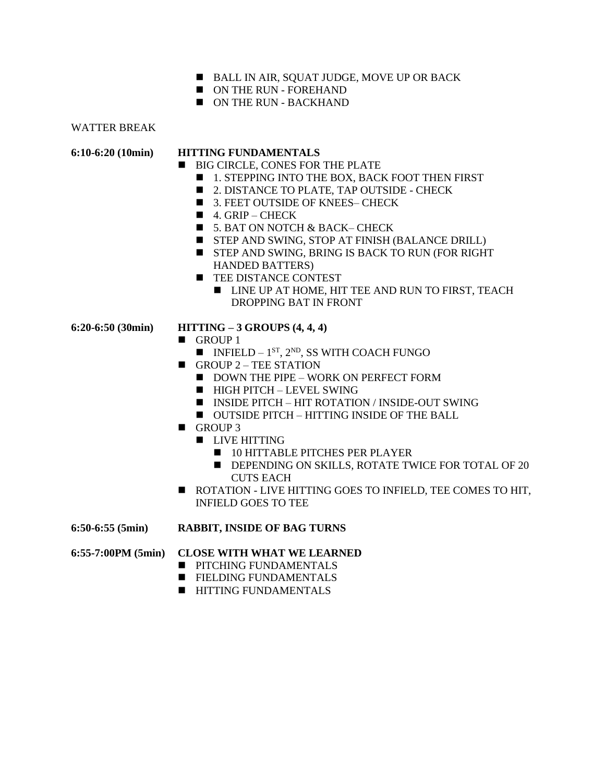- BALL IN AIR, SOUAT JUDGE, MOVE UP OR BACK
- ON THE RUN FOREHAND
- ON THE RUN BACKHAND

WATTER BREAK

### **6:10-6:20 (10min) HITTING FUNDAMENTALS**

- BIG CIRCLE, CONES FOR THE PLATE
	- 1. STEPPING INTO THE BOX, BACK FOOT THEN FIRST
	- 2. DISTANCE TO PLATE, TAP OUTSIDE CHECK
	- 3. FEET OUTSIDE OF KNEES– CHECK
	- $\blacksquare$  4. GRIP CHECK
	- 5. BAT ON NOTCH & BACK– CHECK
	- STEP AND SWING, STOP AT FINISH (BALANCE DRILL)
	- STEP AND SWING, BRING IS BACK TO RUN (FOR RIGHT HANDED BATTERS)
	- $\blacksquare$  TEE DISTANCE CONTEST
		- LINE UP AT HOME, HIT TEE AND RUN TO FIRST, TEACH DROPPING BAT IN FRONT
- 

### **6:20-6:50 (30min) HITTING – 3 GROUPS (4, 4, 4)**

- GROUP 1
	- $\blacksquare$  INFIELD 1<sup>st</sup>, 2<sup>ND</sup>, SS WITH COACH FUNGO
- $\blacksquare$  GROUP 2 TEE STATION
	- DOWN THE PIPE WORK ON PERFECT FORM
	- HIGH PITCH LEVEL SWING
	- INSIDE PITCH HIT ROTATION / INSIDE-OUT SWING
	- OUTSIDE PITCH HITTING INSIDE OF THE BALL
- GROUP 3
	- LIVE HITTING
		- 10 HITTABLE PITCHES PER PLAYER
		- DEPENDING ON SKILLS, ROTATE TWICE FOR TOTAL OF 20 CUTS EACH
- ROTATION LIVE HITTING GOES TO INFIELD, TEE COMES TO HIT, INFIELD GOES TO TEE

#### **6:50-6:55 (5min) RABBIT, INSIDE OF BAG TURNS**

## **6:55-7:00PM (5min) CLOSE WITH WHAT WE LEARNED**

- $\blacksquare$  **PITCHING FUNDAMENTALS**
- FIELDING FUNDAMENTALS
- HITTING FUNDAMENTALS